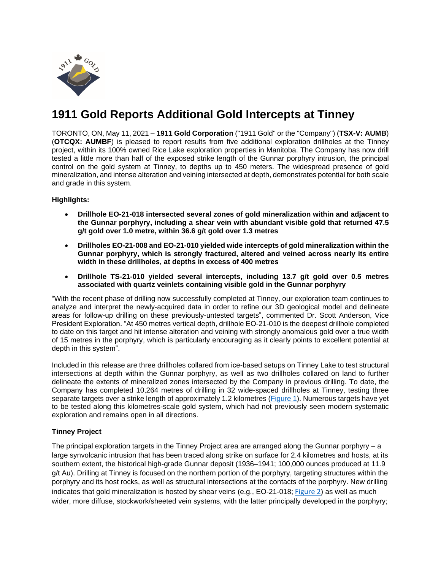

# **1911 Gold Reports Additional Gold Intercepts at Tinney**

TORONTO, ON, May 11, 2021 – **1911 Gold Corporation** ("1911 Gold" or the "Company") (**TSX-V: AUMB**) (**OTCQX: AUMBF**) is pleased to report results from five additional exploration drillholes at the Tinney project, within its 100% owned Rice Lake exploration properties in Manitoba. The Company has now drill tested a little more than half of the exposed strike length of the Gunnar porphyry intrusion, the principal control on the gold system at Tinney, to depths up to 450 meters. The widespread presence of gold mineralization, and intense alteration and veining intersected at depth, demonstrates potential for both scale and grade in this system.

## **Highlights:**

- **Drillhole EO-21-018 intersected several zones of gold mineralization within and adjacent to the Gunnar porphyry, including a shear vein with abundant visible gold that returned 47.5 g/t gold over 1.0 metre, within 36.6 g/t gold over 1.3 metres**
- **Drillholes EO-21-008 and EO-21-010 yielded wide intercepts of gold mineralization within the Gunnar porphyry, which is strongly fractured, altered and veined across nearly its entire width in these drillholes, at depths in excess of 400 metres**
- **Drillhole TS-21-010 yielded several intercepts, including 13.7 g/t gold over 0.5 metres associated with quartz veinlets containing visible gold in the Gunnar porphyry**

"With the recent phase of drilling now successfully completed at Tinney, our exploration team continues to analyze and interpret the newly-acquired data in order to refine our 3D geological model and delineate areas for follow-up drilling on these previously-untested targets", commented Dr. Scott Anderson, Vice President Exploration. "At 450 metres vertical depth, drillhole EO-21-010 is the deepest drillhole completed to date on this target and hit intense alteration and veining with strongly anomalous gold over a true width of 15 metres in the porphyry, which is particularly encouraging as it clearly points to excellent potential at depth in this system".

Included in this release are three drillholes collared from ice-based setups on Tinney Lake to test structural intersections at depth within the Gunnar porphyry, as well as two drillholes collared on land to further delineate the extents of mineralized zones intersected by the Company in previous drilling. To date, the Company has completed 10,264 metres of drilling in 32 wide-spaced drillholes at Tinney, testing three separate targets over a strike length of approximately 1.2 kilometres [\(Figure](https://www.1911gold.com/_resources/news/AUMB_NR_May-10-2021_Figure-1.pdf) 1). Numerous targets have yet to be tested along this kilometres-scale gold system, which had not previously seen modern systematic exploration and remains open in all directions.

## **Tinney Project**

The principal exploration targets in the Tinney Project area are arranged along the Gunnar porphyry – a large synvolcanic intrusion that has been traced along strike on surface for 2.4 kilometres and hosts, at its southern extent, the historical high-grade Gunnar deposit (1936–1941; 100,000 ounces produced at 11.9 g/t Au). Drilling at Tinney is focused on the northern portion of the porphyry, targeting structures within the porphyry and its host rocks, as well as structural intersections at the contacts of the porphyry. New drilling indicates that gold mineralization is hosted by shear veins (e.g., EO-21-018; [Figure 2](https://www.1911gold.com/_resources/news/AUMB_NR_May-10-2021_Figure-2.pdf)) as well as much wider, more diffuse, stockwork/sheeted vein systems, with the latter principally developed in the porphyry;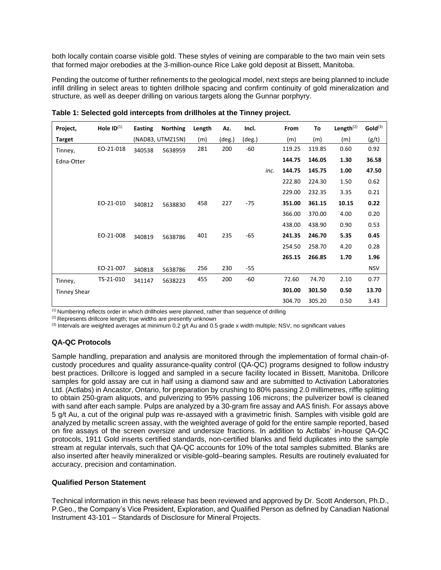both locally contain coarse visible gold. These styles of veining are comparable to the two main vein sets that formed major orebodies at the 3-million-ounce Rice Lake gold deposit at Bissett, Manitoba.

Pending the outcome of further refinements to the geological model, next steps are being planned to include infill drilling in select areas to tighten drillhole spacing and confirm continuity of gold mineralization and structure, as well as deeper drilling on various targets along the Gunnar porphyry.

| Project,            | Hole $ID^{(1)}$ | <b>Easting</b> | <b>Northing</b>  | Length | Az.    | Incl.  |      | From   | To     | Length $(2)$ | Gold <sup>(3)</sup> |
|---------------------|-----------------|----------------|------------------|--------|--------|--------|------|--------|--------|--------------|---------------------|
| <b>Target</b>       |                 |                | (NAD83, UTMZ15N) | (m)    | (deg.) | (deg.) |      | (m)    | (m)    | (m)          | (g/t)               |
| Tinney,             | EO-21-018       | 340538         | 5638959          | 281    | 200    | $-60$  |      | 119.25 | 119.85 | 0.60         | 0.92                |
| Edna-Otter          |                 |                |                  |        |        |        |      | 144.75 | 146.05 | 1.30         | 36.58               |
|                     |                 |                |                  |        |        |        | inc. | 144.75 | 145.75 | 1.00         | 47.50               |
|                     |                 |                |                  |        |        |        |      | 222.80 | 224.30 | 1.50         | 0.62                |
|                     |                 |                |                  |        |        |        |      | 229.00 | 232.35 | 3.35         | 0.21                |
|                     | EO-21-010       | 340812         | 5638830          | 458    | 227    | $-75$  |      | 351.00 | 361.15 | 10.15        | 0.22                |
|                     |                 |                |                  |        |        |        |      | 366.00 | 370.00 | 4.00         | 0.20                |
|                     |                 |                |                  |        |        |        |      | 438.00 | 438.90 | 0.90         | 0.53                |
|                     | EO-21-008       | 340819         | 5638786          | 401    | 235    | $-65$  |      | 241.35 | 246.70 | 5.35         | 0.45                |
|                     |                 |                |                  |        |        |        |      | 254.50 | 258.70 | 4.20         | 0.28                |
|                     |                 |                |                  |        |        |        |      | 265.15 | 266.85 | 1.70         | 1.96                |
|                     | EO-21-007       | 340818         | 5638786          | 256    | 230    | $-55$  |      |        |        |              | <b>NSV</b>          |
| Tinney,             | TS-21-010       | 341147         | 5638223          | 455    | 200    | $-60$  |      | 72.60  | 74.70  | 2.10         | 0.77                |
| <b>Tinney Shear</b> |                 |                |                  |        |        |        |      | 301.00 | 301.50 | 0.50         | 13.70               |
|                     |                 |                |                  |        |        |        |      | 304.70 | 305.20 | 0.50         | 3.43                |

**Table 1: Selected gold intercepts from drillholes at the Tinney project.**

 $<sup>(1)</sup>$  Numbering reflects order in which drillholes were planned, rather than sequence of drilling</sup>

(2) Represents drillcore length; true widths are presently unknown

 $(3)$  Intervals are weighted averages at minimum 0.2 g/t Au and 0.5 grade x width multiple; NSV, no significant values

## **QA-QC Protocols**

Sample handling, preparation and analysis are monitored through the implementation of formal chain-ofcustody procedures and quality assurance-quality control (QA-QC) programs designed to follow industry best practices. Drillcore is logged and sampled in a secure facility located in Bissett, Manitoba. Drillcore samples for gold assay are cut in half using a diamond saw and are submitted to Activation Laboratories Ltd. (Actlabs) in Ancastor, Ontario, for preparation by crushing to 80% passing 2.0 millimetres, riffle splitting to obtain 250-gram aliquots, and pulverizing to 95% passing 106 microns; the pulverizer bowl is cleaned with sand after each sample. Pulps are analyzed by a 30-gram fire assay and AAS finish. For assays above 5 g/t Au, a cut of the original pulp was re-assayed with a gravimetric finish. Samples with visible gold are analyzed by metallic screen assay, with the weighted average of gold for the entire sample reported, based on fire assays of the screen oversize and undersize fractions. In addition to Actlabs' in-house QA-QC protocols, 1911 Gold inserts certified standards, non-certified blanks and field duplicates into the sample stream at regular intervals, such that QA-QC accounts for 10% of the total samples submitted. Blanks are also inserted after heavily mineralized or visible-gold–bearing samples. Results are routinely evaluated for accuracy, precision and contamination.

## **Qualified Person Statement**

Technical information in this news release has been reviewed and approved by Dr. Scott Anderson, Ph.D., P.Geo., the Company's Vice President, Exploration, and Qualified Person as defined by Canadian National Instrument 43-101 – Standards of Disclosure for Mineral Projects.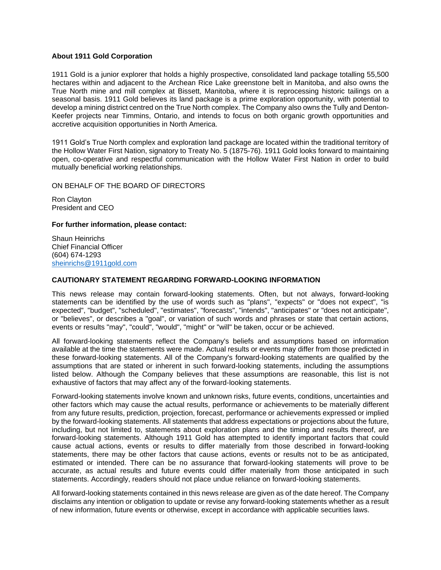#### **About 1911 Gold Corporation**

1911 Gold is a junior explorer that holds a highly prospective, consolidated land package totalling 55,500 hectares within and adjacent to the Archean Rice Lake greenstone belt in Manitoba, and also owns the True North mine and mill complex at Bissett, Manitoba, where it is reprocessing historic tailings on a seasonal basis. 1911 Gold believes its land package is a prime exploration opportunity, with potential to develop a mining district centred on the True North complex. The Company also owns the Tully and Denton-Keefer projects near Timmins, Ontario, and intends to focus on both organic growth opportunities and accretive acquisition opportunities in North America.

1911 Gold's True North complex and exploration land package are located within the traditional territory of the Hollow Water First Nation, signatory to Treaty No. 5 (1875-76). 1911 Gold looks forward to maintaining open, co-operative and respectful communication with the Hollow Water First Nation in order to build mutually beneficial working relationships.

ON BEHALF OF THE BOARD OF DIRECTORS

Ron Clayton President and CEO

#### **For further information, please contact:**

Shaun Heinrichs Chief Financial Officer (604) 674-1293 [sheinrichs@1911gold.com](mailto:sheinrichs@1911gold.com)

#### **CAUTIONARY STATEMENT REGARDING FORWARD-LOOKING INFORMATION**

This news release may contain forward-looking statements. Often, but not always, forward-looking statements can be identified by the use of words such as "plans", "expects" or "does not expect", "is expected", "budget", "scheduled", "estimates", "forecasts", "intends", "anticipates" or "does not anticipate", or "believes", or describes a "goal", or variation of such words and phrases or state that certain actions, events or results "may", "could", "would", "might" or "will" be taken, occur or be achieved.

All forward-looking statements reflect the Company's beliefs and assumptions based on information available at the time the statements were made. Actual results or events may differ from those predicted in these forward-looking statements. All of the Company's forward-looking statements are qualified by the assumptions that are stated or inherent in such forward-looking statements, including the assumptions listed below. Although the Company believes that these assumptions are reasonable, this list is not exhaustive of factors that may affect any of the forward-looking statements.

Forward-looking statements involve known and unknown risks, future events, conditions, uncertainties and other factors which may cause the actual results, performance or achievements to be materially different from any future results, prediction, projection, forecast, performance or achievements expressed or implied by the forward-looking statements. All statements that address expectations or projections about the future, including, but not limited to, statements about exploration plans and the timing and results thereof, are forward-looking statements. Although 1911 Gold has attempted to identify important factors that could cause actual actions, events or results to differ materially from those described in forward-looking statements, there may be other factors that cause actions, events or results not to be as anticipated, estimated or intended. There can be no assurance that forward-looking statements will prove to be accurate, as actual results and future events could differ materially from those anticipated in such statements. Accordingly, readers should not place undue reliance on forward-looking statements.

All forward-looking statements contained in this news release are given as of the date hereof. The Company disclaims any intention or obligation to update or revise any forward-looking statements whether as a result of new information, future events or otherwise, except in accordance with applicable securities laws.